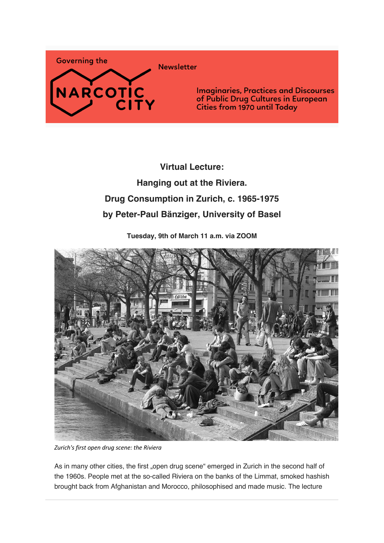

**Virtual Lecture: Hanging out at the Riviera. Drug Consumption in Zurich, c. 1965-1975 by Peter-Paul Bänziger, University of Basel**

**Tuesday, 9th of March 11 a.m. via ZOOM**



*Zurich's first open drug scene: the Riviera*

As in many other cities, the first "open drug scene" emerged in Zurich in the second half of the 1960s. People met at the so-called Riviera on the banks of the Limmat, smoked hashish brought back from Afghanistan and Morocco, philosophised and made music. The lecture